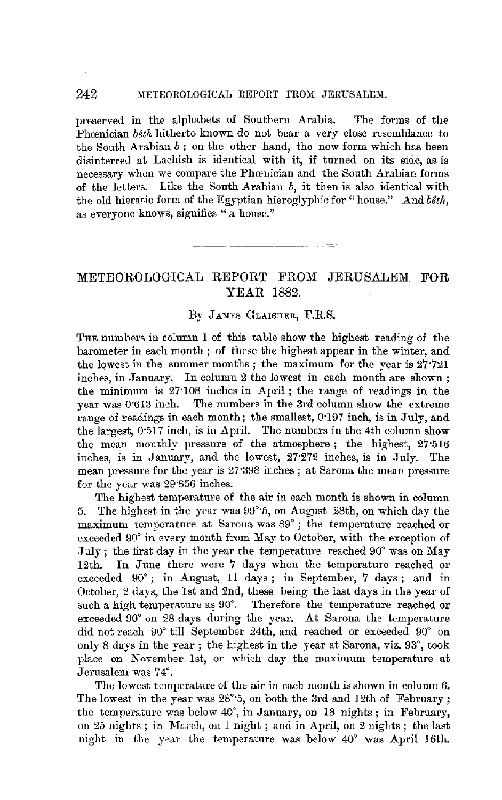## 242 METEOROLOGICAL REPORT FROM JERUSALEM.

preserved in the alphabets of Southern Arabia. The forms of the Phoenician beth hitherto known do not bear a very close resemblance to the South Arabian  $b$ ; on the other hand, the new form which has been disinterred at Lachish is identical with it, if turned on its side, as is necessary when we compare the Phcenician and the South Arabian fonns of the letters. Like the South Arabian *b,* it then is also identical with the old hieratic form of the Egyptian hieroglyphic for "house." And *bith,*  as everyone knows, signifies " a house."

## METEOROLOGICAL REPORT FROM JERUSALEM FOR YEAR 1882.

## *By* JAMES GLAISHER, F.R.S.

THE numbers in column 1 of this table show the highest reading of the barometer in each month ; of these the highest appear in the winter, and the lowest in the summer months ; the maximum for the year is 27.721 inches, in January. In column 2 the lowest in each month are shown; the minimum is 27·108 inches in April; the range of readings in the year was 0·613 inch. The numbers in the 3rd column show the extreme range of readings in each month; the smallest, 0.197 inch, is in July, and the largest, 0·517 inch, is in April. The numbers in the 4th column show the mean monthly pressure of the atmosphere ; the highest, 27·516 inches, is in January, and the lowest, 27·272 inches, is in July. The mean pressure for the year is 27·398 inches; at Sarona the mean pressure for the year was 29"856 inches.

The highest temperature of the air in each month is shown in column 5. The highest in the year was 99°·5, on August 28th, on which day the maximum temperature at 8aroua was 89° ; the temperature reached or exceeded 90° in every month from May to October, with the exception of July; the first day in the year the temperature reached 90° was on May 12th. In June there were 7 days when the temperature reached or exceeded 90° ; in August, 11 days ; in September, 7 days ; and in October, 2 days, the 1st and 2nd, these being the last days in the year of such a high temperature as 90°. Therefore the temperature reached or exceeded 90° on 28 days during the year. At Sarona the temperature did not reach 90° till September 24th, and reached or exceeded 90° on only 8 days in the year; the highest in the year at Sarona, viz. 93°, took place on November 1st, on which day the maximum temperature at Jerusalem was 74°.

The lowest temperature of the air in each month is shown in column 6. The lowest in the year was  $28^{\circ}$ 5, on both the 3rd and 12th of February; the temperature was below 40°, in January, on 18 nights; in February, on 25 nights; in March, on 1 night; and in April, on 2 nights; the last night in the year the temperature was below 40° was April 16th.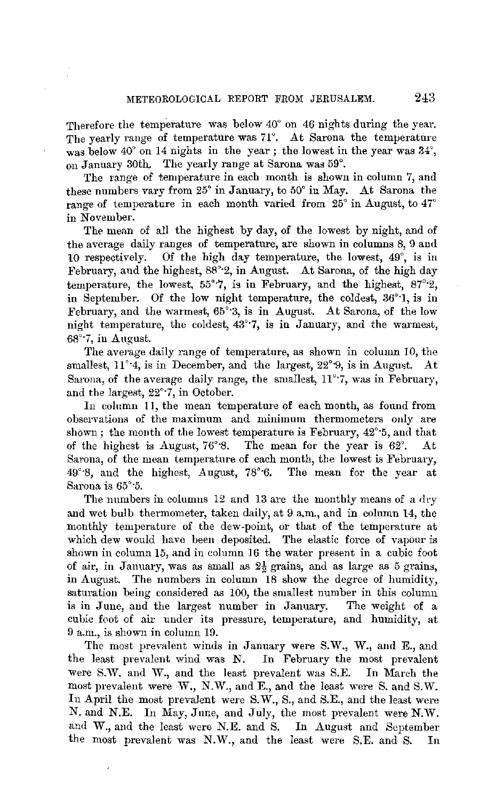Therefore the temperature was below 40° on 46 nights during the year. The yearly range of temperature was 71°. At Sarona the temperature was below 40° on 14 nights in the year; the lowest in the year was  $34^{\circ}$ , on January 30th. The yearly range at Sarona was 59°.

The range of temperature in each month is shown in column 7, and these numbers vary from 25° in January, to 50° in May. At Sarona the range of temperature in each month varied from 25° in August, to 47° in November.

The mean of all the highest by day, of the lowest by night, and of the average daily ranges of temperature, are shown in columns 8, 9 and 10 respectively. Of the high day temperature, the lowest, 49°, is in February, and the highest, 88°·2, **in** August. At Sarona, of the high day temperature, the lowest,  $55^{\circ}$ 7, is in February, and the highest,  $87^{\circ}$ -2, **in** September. Of the low night temperature, the coldest, 36°·1, is in February, and the warmest, 65'·3, is in August. At Sarona, of the low night temperature, the coldest, 43°·7, is in January, and the warmest, 68°·7, in August.

The average daily range of temperature, as shown in column 10, the smallest,  $11^\circ 4$ , is in December, and the largest,  $22^\circ 9$ , is in August. At Sarona, of the average daily range, the smallest,  $11^{\circ}$ .7, was in February, and the largest, 22°·7, in October.

In column 11, the mean temperature of each month, as found from observations of the maximum and minimum thermometers only are shown ; the month of the lowest temperature is February, 42'·5, and that of the highest is August,  $76°8$ . The mean for the year is  $62°$ . Sarona, of the mean temperature of each month, the lowest is February, 49'·8, and the highest, August, 78°·6. The mean for the year at Sarona is 65°·5.

The numbers in columns 12 and 13 are the monthly means of a dry and wet bulb thermometer, taken daily, at 9 a.m., and in column 14, the monthly temperature of the dew-point, or that of the temperature at which dew would have been deposited. The elastic force of vapour is shown in column 15, and in column 16 the water present in a cubic foot of air, in January, was as small as  $2\frac{1}{2}$  grains, and as large as 5 grains, in August. The numbers in column 18 show the degree of humidity, saturation being considered as 100, the smallest number in this column is in June, and the largest number in January. The weight of a cubic foot of air under its pressure, temperature, and humidity, at 9 a.m., is shown in column 19.

The most prevalent winds in January were S.W., W., and E., and the least prevalent wind was N. In February the most prevalent were S.W. and W., and the least prevalent was S.E. In March the most prevalent were W., N.W., and E., and the least were S. and S.W. In April the most prevalent were S.W., S., and S.E., and the least were N. and N.E. In May, June, and July, the most prevalent were N.W. and W., and the least were N.E. and S. In August and September the most prevalent was N.W., and the least were S.E. and S. In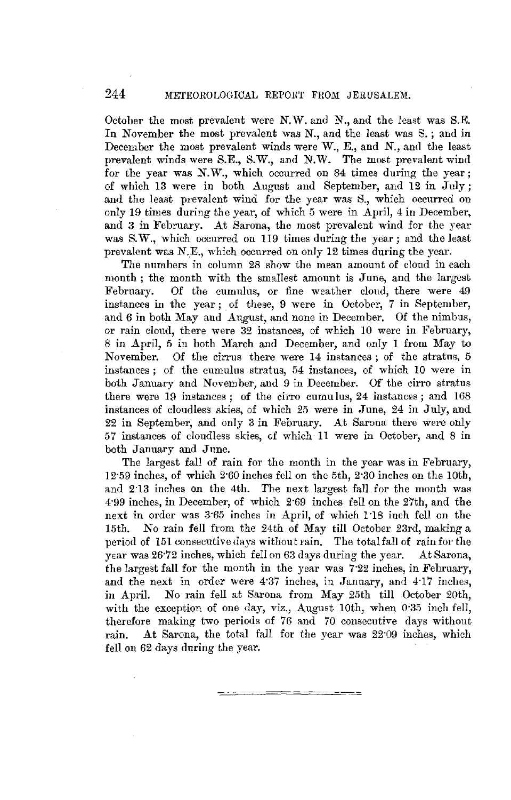## 244 METEOROLOGICAL REPORT FROM JERUSALEM.

October the most prevalent were N. W. and N., and the least was S.E. In November the most prevalent was N., and the least was S. ; and in December the most prevalent winds were W., E., and N., and the least prevalent winds were S.E., S.W., and N.W. The most prevalent wind for the year was N.W., which occurred on 84 times during the year: of which 13 were in both August and September, and 12 in July; and the least prevalent wind for the year was S., which occurred on only 19 times during the year, of which 5 were in April, 4 in December, and 3 in February. At Sarona, the most prevalent wind for the year was S.W., which occurred on 119 times during the year; and the least prevalent was N.E., which occurred on only 12 times during the year.

The numbers in column 28 show the mean amount of cloud in each month; the month with the smallest amount is June, and the largest<br>February. Of the cumulus, or fine weather cloud, there were 49 Of the cumulus, or fine weather cloud, there were 49 instances in the year; of these, 9 were in October, 7 in September, and  $6$  in both May and August, and none in December. Of the nimbus, or rain cloud, there were 32 instances, of which 10 were in February, 8 in April, 5 in both March and December, and only 1 from May to November. Of the cirrus there were 14 instances; of the stratus, 5 instances ; of the cumulus stratus, 54 instances, of which 10 were in both January and November, and 9 in December. Of' the cirro stratus there were  $19$  instances; of the cirro cumulus,  $24$  instances; and  $168$ instances of cloudless skies, of which 25 were in June, 24 in July, and 22 in September, and only 3 in February. At Sarona there were only 57 instances of cloudless skies, of which 11 were in October, and 8 in both January and June.

The largest fall of rain for the month in the year was in February, 12·59 inches, of which 2"60 inches fell on the 5th, 2·30 inches on the 10th, and 2·13 inches on the 4th. The next largest fall for the month was 4·99 inches, in December, of which 2·69 inches fell on the 27th, and the next in order was 3·65 inches in April, of which 1 ·18 inch fell on the 15th. No rain fell from the 24th of May till October 23rd, making a period of 151 consecutive days without rain. The total fall of rain for the year was 26·72 inches, which fell on 63 days during the year. At Sarona, the largest fall for the month in the year was 7·22 inches, in February, and the next in order were 4·37 inches, in January, and 4·17 inches, in April. No rain fell at Sarona from May 25th till October 20th, with the exception of one day, viz., August 10th, when 0.35 inch fell, therefore making two periods of 76 and 70 consecutive days without rain. At Sarona, the total fall for the year was 22·09 inches, which fell on 62 days during the year.